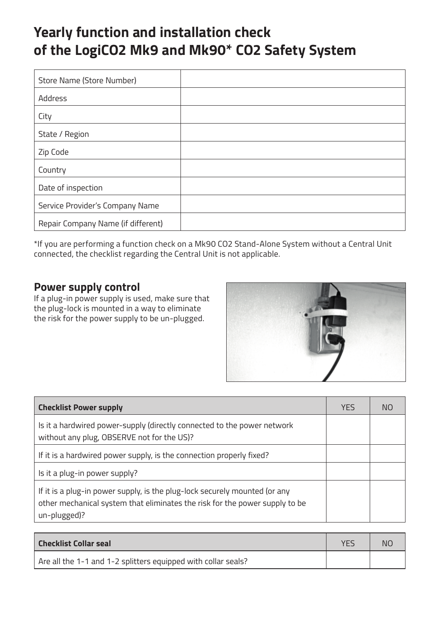# **Yearly function and installation check of the LogiCO2 Mk9 and Mk90\* CO2 Safety System**

| Store Name (Store Number)          |  |
|------------------------------------|--|
| Address                            |  |
| City                               |  |
| State / Region                     |  |
| Zip Code                           |  |
| Country                            |  |
| Date of inspection                 |  |
| Service Provider's Company Name    |  |
| Repair Company Name (if different) |  |

\*If you are performing a function check on a Mk90 CO2 Stand-Alone System without a Central Unit connected, the checklist regarding the Central Unit is not applicable.

#### **Power supply control**

If a plug-in power supply is used, make sure that the plug-lock is mounted in a way to eliminate the risk for the power supply to be un-plugged.



| <b>Checklist Power supply</b>                                                                                                                                             | <b>YES</b> | NO. |
|---------------------------------------------------------------------------------------------------------------------------------------------------------------------------|------------|-----|
| Is it a hardwired power-supply (directly connected to the power network<br>without any plug, OBSERVE not for the US)?                                                     |            |     |
| If it is a hardwired power supply, is the connection properly fixed?                                                                                                      |            |     |
| Is it a plug-in power supply?                                                                                                                                             |            |     |
| If it is a plug-in power supply, is the plug-lock securely mounted (or any<br>other mechanical system that eliminates the risk for the power supply to be<br>un-plugged)? |            |     |

| <b>Checklist Collar seal</b>                                  | <b>YFS</b> | <b>NO</b> |
|---------------------------------------------------------------|------------|-----------|
| Are all the 1-1 and 1-2 splitters equipped with collar seals? |            |           |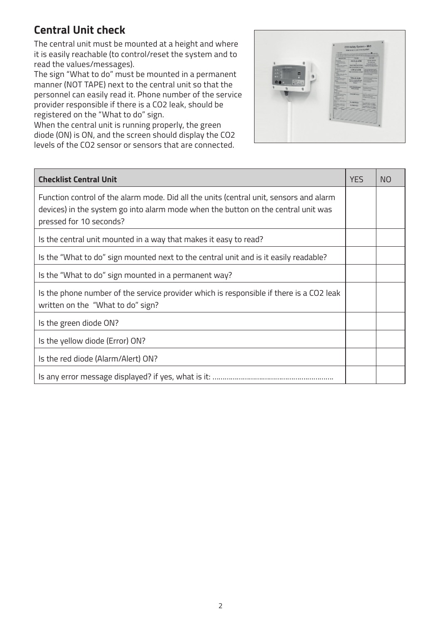## **Central Unit check**

The central unit must be mounted at a height and where it is easily reachable (to control/reset the system and to read the values/messages).

The sign "What to do" must be mounted in a permanent manner (NOT TAPE) next to the central unit so that the personnel can easily read it. Phone number of the service provider responsible if there is a CO2 leak, should be registered on the "What to do" sign.

When the central unit is running properly, the green diode (ON) is ON, and the screen should display the CO2 levels of the CO2 sensor or sensors that are connected.



| <b>Checklist Central Unit</b>                                                                                                                                                                          | <b>YES</b> | N <sub>O</sub> |
|--------------------------------------------------------------------------------------------------------------------------------------------------------------------------------------------------------|------------|----------------|
| Function control of the alarm mode. Did all the units (central unit, sensors and alarm<br>devices) in the system go into alarm mode when the button on the central unit was<br>pressed for 10 seconds? |            |                |
| Is the central unit mounted in a way that makes it easy to read?                                                                                                                                       |            |                |
| Is the "What to do" sign mounted next to the central unit and is it easily readable?                                                                                                                   |            |                |
| Is the "What to do" sign mounted in a permanent way?                                                                                                                                                   |            |                |
| Is the phone number of the service provider which is responsible if there is a CO2 leak<br>written on the "What to do" sign?                                                                           |            |                |
| Is the green diode ON?                                                                                                                                                                                 |            |                |
| Is the yellow diode (Error) ON?                                                                                                                                                                        |            |                |
| Is the red diode (Alarm/Alert) ON?                                                                                                                                                                     |            |                |
|                                                                                                                                                                                                        |            |                |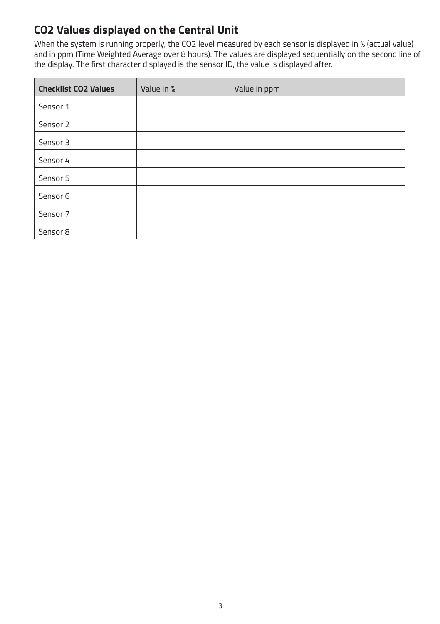### **CO2 Values displayed on the Central Unit**

When the system is running properly, the CO2 level measured by each sensor is displayed in % (actual value) and in ppm (Time Weighted Average over 8 hours). The values are displayed sequentially on the second line of the display. The first character displayed is the sensor ID, the value is displayed after.

| <b>Checklist CO2 Values</b> | Value in % | Value in ppm |
|-----------------------------|------------|--------------|
| Sensor 1                    |            |              |
| Sensor 2                    |            |              |
| Sensor 3                    |            |              |
| Sensor 4                    |            |              |
| Sensor 5                    |            |              |
| Sensor <sub>6</sub>         |            |              |
| Sensor 7                    |            |              |
| Sensor 8                    |            |              |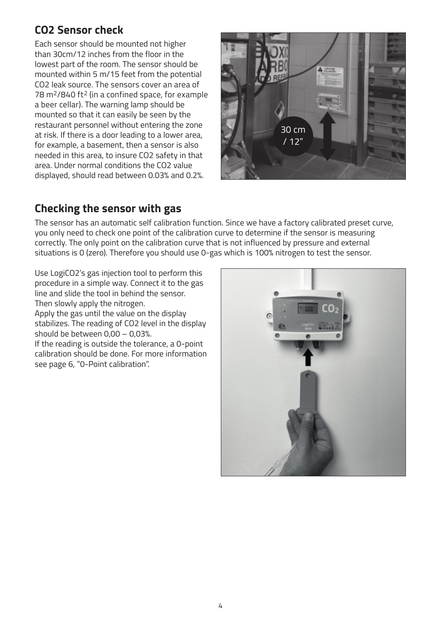#### **CO2 Sensor check**

Each sensor should be mounted not higher than 30cm/12 inches from the floor in the lowest part of the room. The sensor should be mounted within 5 m/15 feet from the potential CO2 leak source. The sensors cover an area of 78 m2/840 ft2 (in a confined space, for example a beer cellar). The warning lamp should be mounted so that it can easily be seen by the restaurant personnel without entering the zone at risk. If there is a door leading to a lower area, for example, a basement, then a sensor is also needed in this area, to insure CO2 safety in that area. Under normal conditions the CO2 value displayed, should read between 0.03% and 0.2%.



#### **Checking the sensor with gas**

The sensor has an automatic self calibration function. Since we have a factory calibrated preset curve, you only need to check one point of the calibration curve to determine if the sensor is measuring correctly. The only point on the calibration curve that is not influenced by pressure and external situations is 0 (zero). Therefore you should use 0-gas which is 100% nitrogen to test the sensor.

Use LogiCO2's gas injection tool to perform this procedure in a simple way. Connect it to the gas line and slide the tool in behind the sensor. Then slowly apply the nitrogen. Apply the gas until the value on the display stabilizes. The reading of CO2 level in the display should be between 0,00 – 0,03%. If the reading is outside the tolerance, a 0-point

calibration should be done. For more information see page 6, "0-Point calibration".

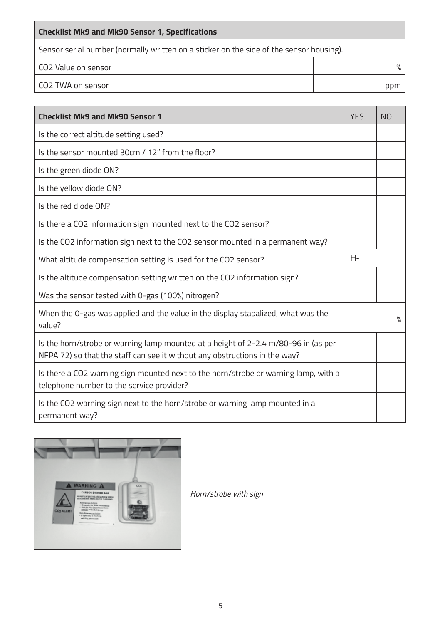| <b>Checklist Mk9 and Mk90 Sensor 1, Specifications</b>                                  |     |  |
|-----------------------------------------------------------------------------------------|-----|--|
| Sensor serial number (normally written on a sticker on the side of the sensor housing). |     |  |
| l CO2 Value on sensor                                                                   | %   |  |
| l CO2 TWA on sensor                                                                     | ppm |  |

| <b>Checklist Mk9 and Mk90 Sensor 1</b>                                                                                                                           | <b>YES</b> | N <sub>O</sub> |
|------------------------------------------------------------------------------------------------------------------------------------------------------------------|------------|----------------|
| Is the correct altitude setting used?                                                                                                                            |            |                |
| Is the sensor mounted 30cm / 12" from the floor?                                                                                                                 |            |                |
| Is the green diode ON?                                                                                                                                           |            |                |
| Is the yellow diode ON?                                                                                                                                          |            |                |
| Is the red diode ON?                                                                                                                                             |            |                |
| Is there a CO2 information sign mounted next to the CO2 sensor?                                                                                                  |            |                |
| Is the CO2 information sign next to the CO2 sensor mounted in a permanent way?                                                                                   |            |                |
| What altitude compensation setting is used for the CO2 sensor?                                                                                                   |            |                |
| Is the altitude compensation setting written on the CO2 information sign?                                                                                        |            |                |
| Was the sensor tested with 0-gas (100%) nitrogen?                                                                                                                |            |                |
| When the 0-gas was applied and the value in the display stabalized, what was the<br>value?                                                                       |            | $\frac{9}{6}$  |
| Is the horn/strobe or warning lamp mounted at a height of 2-2.4 m/80-96 in (as per<br>NFPA 72) so that the staff can see it without any obstructions in the way? |            |                |
| Is there a CO2 warning sign mounted next to the horn/strobe or warning lamp, with a<br>telephone number to the service provider?                                 |            |                |
| Is the CO2 warning sign next to the horn/strobe or warning lamp mounted in a<br>permanent way?                                                                   |            |                |



*Horn/strobe with sign*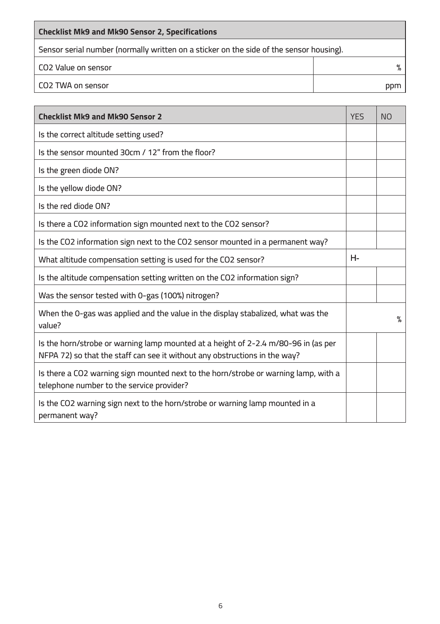| <b>Checklist Mk9 and Mk90 Sensor 2, Specifications</b>                                  |     |  |
|-----------------------------------------------------------------------------------------|-----|--|
| Sensor serial number (normally written on a sticker on the side of the sensor housing). |     |  |
| l CO2 Value on sensor                                                                   | %   |  |
| l CO2 TWA on sensor                                                                     | ppm |  |

| <b>Checklist Mk9 and Mk90 Sensor 2</b>                                                                                                                           | <b>YES</b> | <b>NO</b> |
|------------------------------------------------------------------------------------------------------------------------------------------------------------------|------------|-----------|
| Is the correct altitude setting used?                                                                                                                            |            |           |
| Is the sensor mounted 30cm / 12" from the floor?                                                                                                                 |            |           |
| Is the green diode ON?                                                                                                                                           |            |           |
| Is the yellow diode ON?                                                                                                                                          |            |           |
| Is the red diode ON?                                                                                                                                             |            |           |
| Is there a CO2 information sign mounted next to the CO2 sensor?                                                                                                  |            |           |
| Is the CO2 information sign next to the CO2 sensor mounted in a permanent way?                                                                                   |            |           |
| What altitude compensation setting is used for the CO2 sensor?                                                                                                   |            |           |
| Is the altitude compensation setting written on the CO2 information sign?                                                                                        |            |           |
| Was the sensor tested with 0-gas (100%) nitrogen?                                                                                                                |            |           |
| When the 0-gas was applied and the value in the display stabalized, what was the<br>value?                                                                       |            | $\%$      |
| Is the horn/strobe or warning lamp mounted at a height of 2-2.4 m/80-96 in (as per<br>NFPA 72) so that the staff can see it without any obstructions in the way? |            |           |
| Is there a CO2 warning sign mounted next to the horn/strobe or warning lamp, with a<br>telephone number to the service provider?                                 |            |           |
| Is the CO2 warning sign next to the horn/strobe or warning lamp mounted in a<br>permanent way?                                                                   |            |           |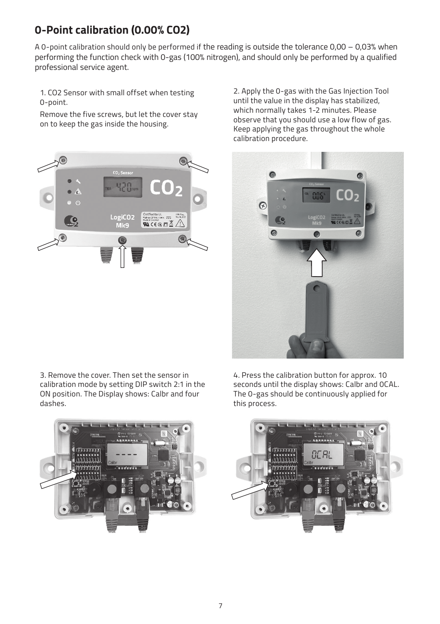### **0-Point calibration (0.00% CO2)**

A 0-point calibration should only be performed if the reading is outside the tolerance 0,00 – 0,03% when performing the function check with 0-gas (100% nitrogen), and should only be performed by a qualified professional service agent.

1. CO2 Sensor with small offset when testing 0-point.

Remove the five screws, but let the cover stay on to keep the gas inside the housing.



2. Apply the 0-gas with the Gas Injection Tool until the value in the display has stabilized, which normally takes 1-2 minutes. Please observe that you should use a low flow of gas. Keep applying the gas throughout the whole calibration procedure.



3. Remove the cover. Then set the sensor in calibration mode by setting DIP switch 2:1 in the ON position. The Display shows: Calbr and four dashes.



4. Press the calibration button for approx. 10 seconds until the display shows: Calbr and 0CAL. The 0-gas should be continuously applied for this process.

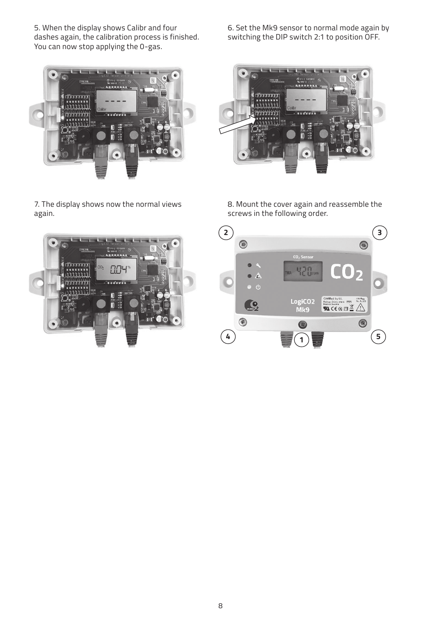5. When the display shows Calibr and four dashes again, the calibration process is finished. You can now stop applying the 0-gas.

6. Set the Mk9 sensor to normal mode again by switching the DIP switch 2:1 to position OFF.



7. The display shows now the normal views again.





8. Mount the cover again and reassemble the screws in the following order.